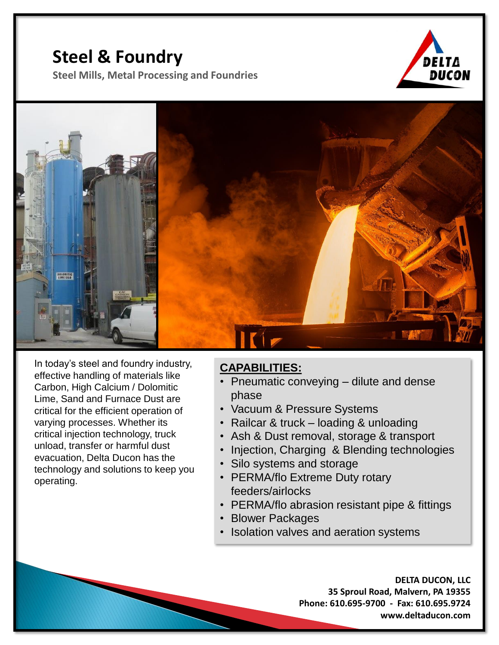## **Steel & Foundry**

**Steel Mills, Metal Processing and Foundries**





In today's steel and foundry industry, effective handling of materials like Carbon, High Calcium / Dolomitic Lime, Sand and Furnace Dust are critical for the efficient operation of varying processes. Whether its critical injection technology, truck unload, transfer or harmful dust evacuation, Delta Ducon has the technology and solutions to keep you operating.

## **CAPABILITIES:**

- Pneumatic conveying dilute and dense phase
- Vacuum & Pressure Systems
- Railcar & truck loading & unloading
- Ash & Dust removal, storage & transport
- Injection, Charging & Blending technologies
- Silo systems and storage
- PERMA/flo Extreme Duty rotary feeders/airlocks
- PERMA/flo abrasion resistant pipe & fittings
- Blower Packages
- Isolation valves and aeration systems

**DELTA DUCON, LLC 35 Sproul Road, Malvern, PA 19355 Phone: 610.695-9700 - Fax: 610.695.9724 www.deltaducon.com**